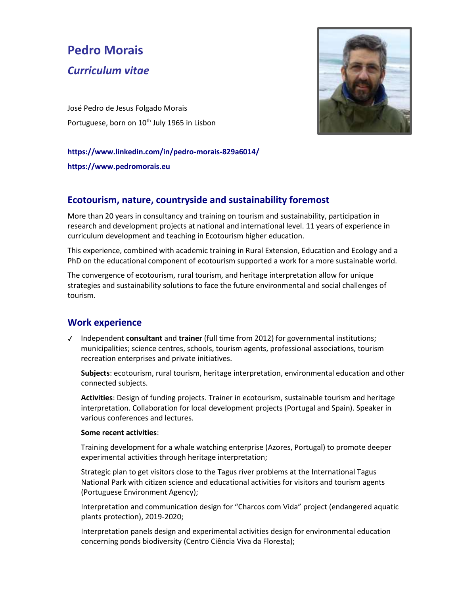# **Pedro Morais**

# *Curriculum vitae*

José Pedro de Jesus Folgado Morais Portuguese, born on 10<sup>th</sup> July 1965 in Lisbon



#### **https://www.linkedin.com/in/pedro-morais-829a6014/**

**https://www.pedromorais.eu**

# **Ecotourism, nature, countryside and sustainability foremost**

More than 20 years in consultancy and training on tourism and sustainability, participation in research and development projects at national and international level. 11 years of experience in curriculum development and teaching in Ecotourism higher education.

This experience, combined with academic training in Rural Extension, Education and Ecology and a PhD on the educational component of ecotourism supported a work for a more sustainable world.

The convergence of ecotourism, rural tourism, and heritage interpretation allow for unique strategies and sustainability solutions to face the future environmental and social challenges of tourism.

### **Work experience**

✔ Independent **consultant** and **trainer** (full time from 2012) for governmental institutions; municipalities; science centres, schools, tourism agents, professional associations, tourism recreation enterprises and private initiatives.

**Subjects**: ecotourism, rural tourism, heritage interpretation, environmental education and other connected subjects.

**Activities**: Design of funding projects. Trainer in ecotourism, sustainable tourism and heritage interpretation. Collaboration for local development projects (Portugal and Spain). Speaker in various conferences and lectures.

#### **Some recent activities**:

Training development for a whale watching enterprise (Azores, Portugal) to promote deeper experimental activities through heritage interpretation;

Strategic plan to get visitors close to the Tagus river problems at the International Tagus National Park with citizen science and educational activities for visitors and tourism agents (Portuguese Environment Agency);

Interpretation and communication design for "Charcos com Vida" project (endangered aquatic plants protection), 2019-2020;

Interpretation panels design and experimental activities design for environmental education concerning ponds biodiversity (Centro Ciência Viva da Floresta);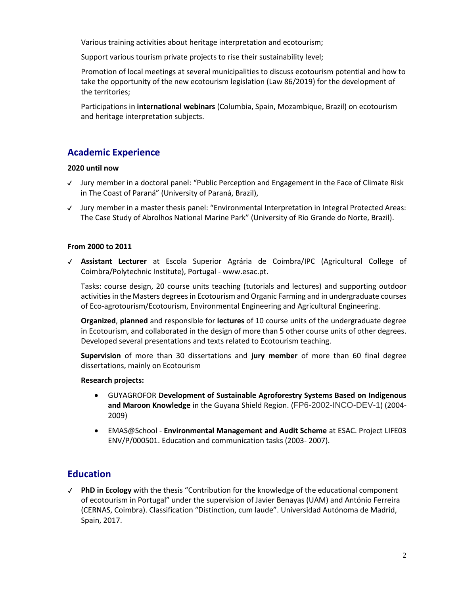Various training activities about heritage interpretation and ecotourism;

Support various tourism private projects to rise their sustainability level;

Promotion of local meetings at several municipalities to discuss ecotourism potential and how to take the opportunity of the new ecotourism legislation (Law 86/2019) for the development of the territories;

Participations in **international webinars** (Columbia, Spain, Mozambique, Brazil) on ecotourism and heritage interpretation subjects.

## **Academic Experience**

#### **2020 until now**

- ✔ Jury member in a doctoral panel: "Public Perception and Engagement in the Face of Climate Risk in The Coast of Paraná" (University of Paraná, Brazil),
- ✔ Jury member in a master thesis panel: "Environmental Interpretation in Integral Protected Areas: The Case Study of Abrolhos National Marine Park" (University of Rio Grande do Norte, Brazil).

#### **From 2000 to 2011**

✔ **Assistant Lecturer** at Escola Superior Agrária de Coimbra/IPC (Agricultural College of Coimbra/Polytechnic Institute), Portugal - www.esac.pt.

Tasks: course design, 20 course units teaching (tutorials and lectures) and supporting outdoor activities in the Masters degrees in Ecotourism and Organic Farming and in undergraduate courses of Eco-agrotourism/Ecotourism, Environmental Engineering and Agricultural Engineering.

**Organized**, **planned** and responsible for **lectures** of 10 course units of the undergraduate degree in Ecotourism, and collaborated in the design of more than 5 other course units of other degrees. Developed several presentations and texts related to Ecotourism teaching.

**Supervision** of more than 30 dissertations and **jury member** of more than 60 final degree dissertations, mainly on Ecotourism

#### **Research projects:**

- GUYAGROFOR **Development of Sustainable Agroforestry Systems Based on Indigenous and Maroon Knowledge** in the Guyana Shield Region. (FP6-2002-INCO-DEV-1) (2004- 2009)
- EMAS@School **Environmental Management and Audit Scheme** at ESAC. Project LIFE03 ENV/P/000501. Education and communication tasks (2003- 2007).

# **Education**

✔ **PhD in Ecology** with the thesis "Contribution for the knowledge of the educational component of ecotourism in Portugal" under the supervision of Javier Benayas (UAM) and António Ferreira (CERNAS, Coimbra). Classification "Distinction, cum laude". Universidad Autónoma de Madrid, Spain, 2017.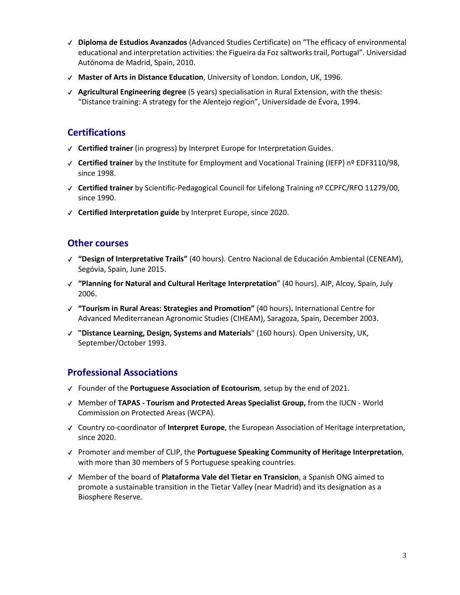- ✔ **Diploma de Estudios Avanzados** (Advanced Studies Certificate) on "The efficacy of environmental educational and interpretation activities: the Figueira da Foz saltworks trail, Portugal". Universidad Autónoma de Madrid, Spain, 2010.
- ✔ **Master of Arts in Distance Education**, University of London. London, UK, 1996.
- ✔ **Agricultural Engineering degree** (5 years) specialisation in Rural Extension, with the thesis: "Distance training: A strategy for the Alentejo region", Universidade de Évora, 1994.

# **Certifications**

- ✔ **Certified trainer** (in progress) by Interpret Europe for Interpretation Guides.
- ✔ **Certified trainer** by the Institute for Employment and Vocational Training (IEFP) nº EDF3110/98, since 1998.
- ✔ **Certified trainer** by Scientific-Pedagogical Council for Lifelong Training nº CCPFC/RFO 11279/00, since 1990.
- ✔ **Certified Interpretation guide** by Interpret Europe, since 2020.

## **Other courses**

- ✔ **"Design of Interpretative Trails"** (40 hours). Centro Nacional de Educación Ambiental (CENEAM), Segóvia, Spain, June 2015.
- ✔ **"Planning for Natural and Cultural Heritage Interpretation**" (40 hours). AIP, Alcoy, Spain, July 2006.
- ✔ **"Tourism in Rural Areas: Strategies and Promotion"** (40 hours)**.** International Centre for Advanced Mediterranean Agronomic Studies (CIHEAM), Saragoza, Spain, December 2003.
- ✔ **"Distance Learning, Design, Systems and Materials**" (160 hours). Open University, UK, September/October 1993.

# **Professional Associations**

- ✔ Founder of the **Portuguese Association of Ecotourism**, setup by the end of 2021.
- ✔ Member of **TAPAS - Tourism and Protected Areas Specialist Group,** from the IUCN World Commission on Protected Areas (WCPA).
- ✔ Country co-coordinator of **Interpret Europe**, the European Association of Heritage interpretation, since 2020.
- ✔ Promoter and member of CLIP, the **Portuguese Speaking Community of Heritage Interpretation**, with more than 30 members of 5 Portuguese speaking countries.
- ✔ Member of the board of **Plataforma Vale del Tietar en Transicion**, a Spanish ONG aimed to promote a sustainable transition in the Tietar Valley (near Madrid) and its designation as a Biosphere Reserve.